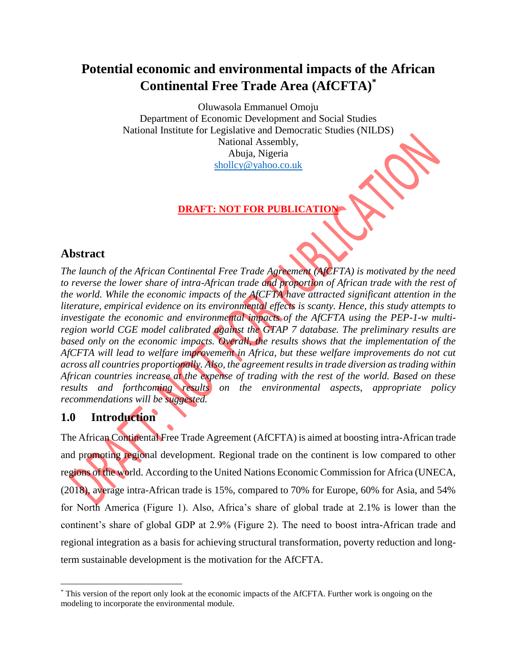# **Potential economic and environmental impacts of the African Continental Free Trade Area (AfCFTA)\***

Oluwasola Emmanuel Omoju Department of Economic Development and Social Studies National Institute for Legislative and Democratic Studies (NILDS) National Assembly, Abuja, Nigeria [shollcy@yahoo.co.uk](mailto:shollcy@yahoo.co.uk)

## **DRAFT: NOT FOR PUBLICATIO**

### **Abstract**

*The launch of the African Continental Free Trade Agreement (AfCFTA) is motivated by the need to reverse the lower share of intra-African trade and proportion of African trade with the rest of the world. While the economic impacts of the AfCFTA have attracted significant attention in the literature, empirical evidence on its environmental effects is scanty. Hence, this study attempts to investigate the economic and environmental impacts of the AfCFTA using the PEP-1-w multiregion world CGE model calibrated against the GTAP 7 database. The preliminary results are based only on the economic impacts. Overall, the results shows that the implementation of the AfCFTA will lead to welfare improvement in Africa, but these welfare improvements do not cut across all countries proportionally. Also, the agreement results in trade diversion as trading within African countries increase at the expense of trading with the rest of the world. Based on these results and forthcoming results on the environmental aspects, appropriate policy recommendations will be suggested.*

## **1.0 Introduction**

 $\overline{\phantom{a}}$ 

The African Continental Free Trade Agreement (AfCFTA) is aimed at boosting intra-African trade and promoting regional development. Regional trade on the continent is low compared to other regions of the world. According to the United Nations Economic Commission for Africa (UNECA, (2018), average intra-African trade is 15%, compared to 70% for Europe, 60% for Asia, and 54% for North America (Figure 1). Also, Africa's share of global trade at 2.1% is lower than the continent's share of global GDP at 2.9% (Figure 2). The need to boost intra-African trade and regional integration as a basis for achieving structural transformation, poverty reduction and longterm sustainable development is the motivation for the AfCFTA.

<sup>\*</sup> This version of the report only look at the economic impacts of the AfCFTA. Further work is ongoing on the modeling to incorporate the environmental module.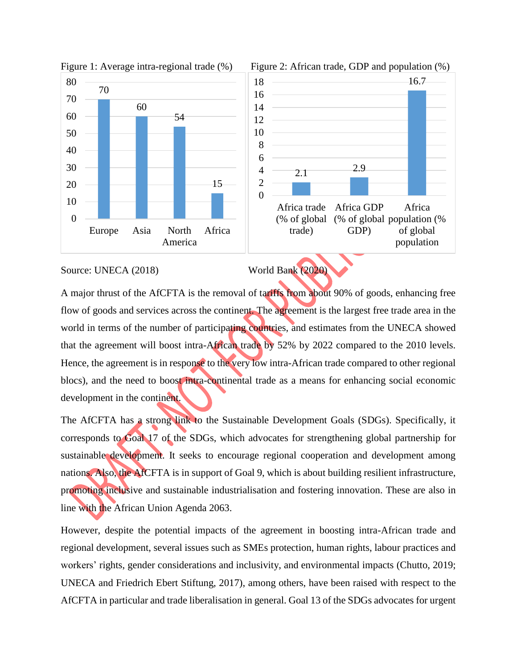



#### Source: UNECA (2018) World Bank (2020)

A major thrust of the AfCFTA is the removal of tariffs from about 90% of goods, enhancing free flow of goods and services across the continent. The agreement is the largest free trade area in the world in terms of the number of participating countries, and estimates from the UNECA showed that the agreement will boost intra-African trade by 52% by 2022 compared to the 2010 levels. Hence, the agreement is in response to the very low intra-African trade compared to other regional blocs), and the need to boost intra-continental trade as a means for enhancing social economic development in the continent.

The AfCFTA has a strong link to the Sustainable Development Goals (SDGs). Specifically, it corresponds to Goal 17 of the SDGs, which advocates for strengthening global partnership for sustainable development. It seeks to encourage regional cooperation and development among nations. Also, the AfCFTA is in support of Goal 9, which is about building resilient infrastructure, promoting inclusive and sustainable industrialisation and fostering innovation. These are also in line with the African Union Agenda 2063.

However, despite the potential impacts of the agreement in boosting intra-African trade and regional development, several issues such as SMEs protection, human rights, labour practices and workers' rights, gender considerations and inclusivity, and environmental impacts (Chutto, 2019; UNECA and Friedrich Ebert Stiftung, 2017), among others, have been raised with respect to the AfCFTA in particular and trade liberalisation in general. Goal 13 of the SDGs advocates for urgent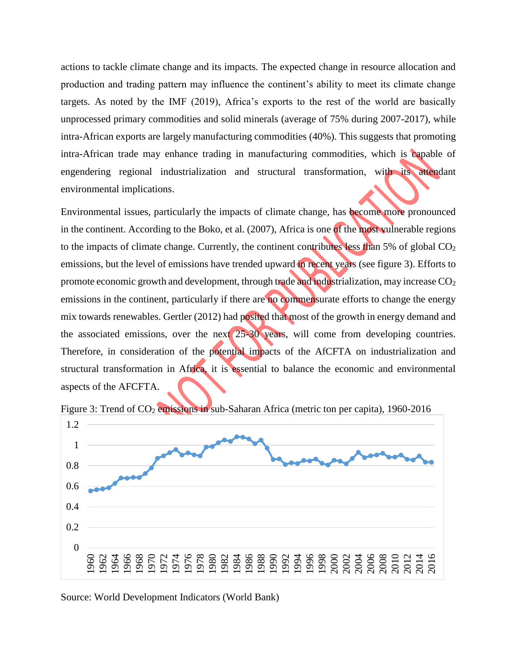actions to tackle climate change and its impacts. The expected change in resource allocation and production and trading pattern may influence the continent's ability to meet its climate change targets. As noted by the IMF (2019), Africa's exports to the rest of the world are basically unprocessed primary commodities and solid minerals (average of 75% during 2007-2017), while intra-African exports are largely manufacturing commodities (40%). This suggests that promoting intra-African trade may enhance trading in manufacturing commodities, which is capable of engendering regional industrialization and structural transformation, with its attendant environmental implications.

Environmental issues, particularly the impacts of climate change, has become more pronounced in the continent. According to the Boko, et al. (2007), Africa is one of the most vulnerable regions to the impacts of climate change. Currently, the continent contributes less than 5% of global  $CO<sub>2</sub>$ emissions, but the level of emissions have trended upward in recent years (see figure 3). Efforts to promote economic growth and development, through trade and industrialization, may increase CO<sub>2</sub> emissions in the continent, particularly if there are no commensurate efforts to change the energy mix towards renewables. Gertler (2012) had posited that most of the growth in energy demand and the associated emissions, over the next 25-30 years, will come from developing countries. Therefore, in consideration of the potential impacts of the AfCFTA on industrialization and structural transformation in Africa, it is essential to balance the economic and environmental aspects of the AFCFTA.



Figure 3: Trend of CO<sub>2</sub> emissions in sub-Saharan Africa (metric ton per capita), 1960-2016

Source: World Development Indicators (World Bank)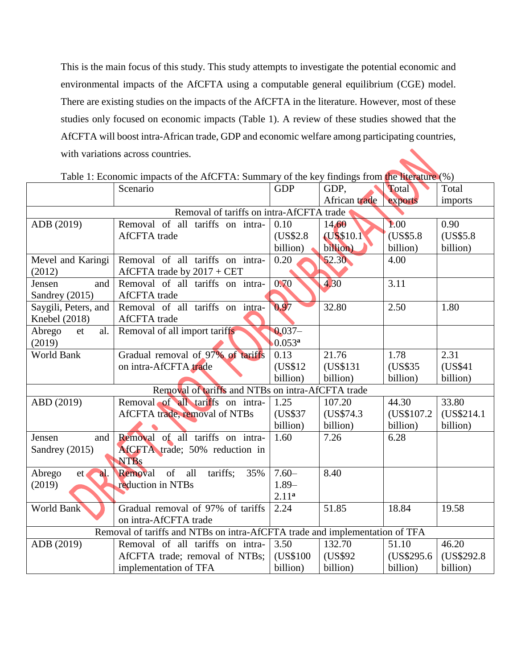This is the main focus of this study. This study attempts to investigate the potential economic and environmental impacts of the AfCFTA using a computable general equilibrium (CGE) model. There are existing studies on the impacts of the AfCFTA in the literature. However, most of these studies only focused on economic impacts (Table 1). A review of these studies showed that the AfCFTA will boost intra-African trade, GDP and economic welfare among participating countries, with variations across countries.

|                      | Scenario                                                                    | <b>GDP</b>        | -- 7<br>GDP,  | Total       | $\cdot$ - $\prime$<br>Total |
|----------------------|-----------------------------------------------------------------------------|-------------------|---------------|-------------|-----------------------------|
|                      |                                                                             |                   | African trade | exports     | imports                     |
|                      | Removal of tariffs on intra-AfCFTA trade                                    |                   |               |             |                             |
| ADB (2019)           | Removal of all tariffs on intra-                                            | 0.10              | 14.60         | 1.00        | 0.90                        |
|                      | <b>AfCFTA</b> trade                                                         | (US\$2.8)         | (US\$10.1)    | (US\$5.8)   | (US\$5.8)                   |
|                      |                                                                             | billion)          | billion)      | billion)    | billion)                    |
| Mevel and Karingi    | Removal of all tariffs on intra-                                            | 0.20              | 52.30         | 4.00        |                             |
| (2012)               | AfCFTA trade by 2017 + CET                                                  |                   |               |             |                             |
| and<br>Jensen        | Removal of all tariffs on intra-                                            | 0.70              | 4.30          | 3.11        |                             |
| Sandrey (2015)       | <b>AfCFTA</b> trade                                                         |                   |               |             |                             |
| Saygili, Peters, and | Removal of all tariffs on intra-                                            | 0.97              | 32.80         | 2.50        | 1.80                        |
| Knebel (2018)        | AfCFTA trade                                                                |                   |               |             |                             |
| Abrego<br>al.<br>et  | Removal of all import tariffs                                               | $0.037 -$         |               |             |                             |
| (2019)               |                                                                             | $0.053^{\rm a}$   |               |             |                             |
| World Bank           | Gradual removal of 97% of tariffs                                           | 0.13              | 21.76         | 1.78        | 2.31                        |
|                      | on intra-AfCFTA trade                                                       | (US\$12)          | (US\$131)     | (US\$35)    | (US\$41                     |
|                      |                                                                             | billion)          | billion)      | billion)    | billion)                    |
|                      | Removal of tariffs and NTBs on intra-AfCFTA trade                           |                   |               |             |                             |
| ABD (2019)           | Removal of all tariffs on intra-                                            | 1.25              | 107.20        | 44.30       | 33.80                       |
|                      | AfCFTA trade, removal of NTBs                                               | (US\$37)          | (US\$74.3)    | (US\$107.2) | (US\$214.1)                 |
|                      |                                                                             | billion)          | billion)      | billion)    | billion)                    |
| Jensen<br>and        | Removal of all tariffs on intra-                                            | 1.60              | 7.26          | 6.28        |                             |
| Sandrey (2015)       | AfCFTA trade; 50% reduction in                                              |                   |               |             |                             |
|                      | <b>NTBs</b>                                                                 |                   |               |             |                             |
| Abrego<br>et<br>al.  | Removal of all tariffs; 35%                                                 | $7.60 -$          | 8.40          |             |                             |
| (2019)               | reduction in NTBs                                                           | $1.89-$           |               |             |                             |
|                      |                                                                             | 2.11 <sup>a</sup> |               |             |                             |
| <b>World Bank</b>    | Gradual removal of 97% of tariffs                                           | 2.24              | 51.85         | 18.84       | 19.58                       |
|                      | on intra-AfCFTA trade                                                       |                   |               |             |                             |
|                      | Removal of tariffs and NTBs on intra-AfCFTA trade and implementation of TFA |                   |               |             |                             |
| ADB (2019)           | Removal of all tariffs on intra-                                            | 3.50              | 132.70        | 51.10       | 46.20                       |
|                      | AfCFTA trade; removal of NTBs;                                              | (US\$100)         | (US\$92)      | (US\$295.6) | (US\$292.8)                 |
|                      | implementation of TFA                                                       | billion)          | billion)      | billion)    | billion)                    |

Table 1: Economic impacts of the AfCFTA: Summary of the key findings from the literature (%)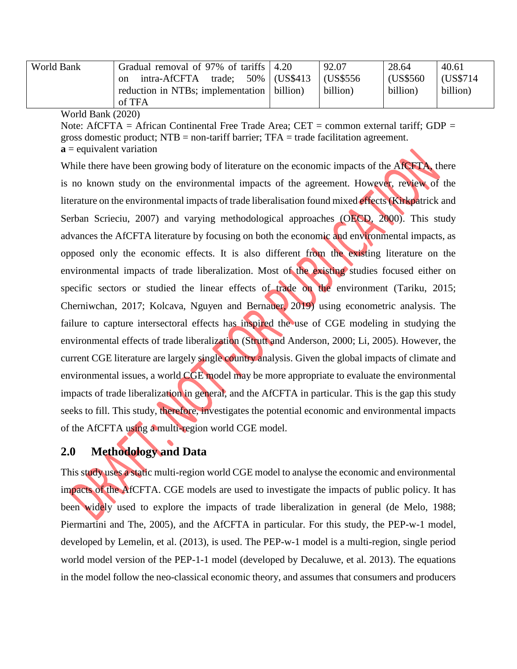| World Bank   | Gradual removal of 97% of tariffs 4.20       |               | 92.07     | 28.64     | 40.61     |
|--------------|----------------------------------------------|---------------|-----------|-----------|-----------|
|              | intra-AfCFTA<br>trade;<br><sub>on</sub>      | 50% (US\$413) | (US\$556) | (US\$560) | (US\$714) |
|              | reduction in NTBs; implementation   billion) |               | billion)  | billion)  | billion)  |
|              | of TFA                                       |               |           |           |           |
| $\mathbf{r}$ |                                              |               |           |           |           |

World Bank (2020)

Note: AfCFTA = African Continental Free Trade Area;  $CET =$  common external tariff; GDP = gross domestic product; NTB = non-tariff barrier; TFA = trade facilitation agreement. **a** = equivalent variation

While there have been growing body of literature on the economic impacts of the AfCFTA, there is no known study on the environmental impacts of the agreement. However, review of the literature on the environmental impacts of trade liberalisation found mixed effects (Kirkpatrick and Serban Scrieciu, 2007) and varying methodological approaches (OECD, 2000). This study advances the AfCFTA literature by focusing on both the economic and environmental impacts, as opposed only the economic effects. It is also different from the existing literature on the environmental impacts of trade liberalization. Most of the existing studies focused either on specific sectors or studied the linear effects of trade on the environment (Tariku, 2015; Cherniwchan, 2017; Kolcava, Nguyen and Bernauer, 2019) using econometric analysis. The failure to capture intersectoral effects has inspired the use of CGE modeling in studying the environmental effects of trade liberalization (Strutt and Anderson, 2000; Li, 2005). However, the current CGE literature are largely single country analysis. Given the global impacts of climate and environmental issues, a world CGE model may be more appropriate to evaluate the environmental impacts of trade liberalization in general, and the AfCFTA in particular. This is the gap this study seeks to fill. This study, therefore, investigates the potential economic and environmental impacts of the AfCFTA using a multi-region world CGE model.

## **2.0 Methodology and Data**

This study uses a static multi-region world CGE model to analyse the economic and environmental impacts of the AfCFTA. CGE models are used to investigate the impacts of public policy. It has been widely used to explore the impacts of trade liberalization in general (de Melo, 1988; Piermartini and The, 2005), and the AfCFTA in particular. For this study, the PEP-w-1 model, developed by Lemelin, et al. (2013), is used. The PEP-w-1 model is a multi-region, single period world model version of the PEP-1-1 model (developed by Decaluwe, et al. 2013). The equations in the model follow the neo-classical economic theory, and assumes that consumers and producers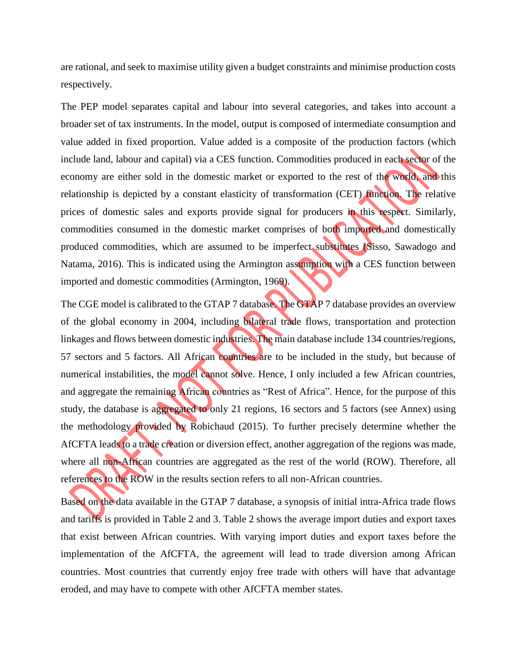are rational, and seek to maximise utility given a budget constraints and minimise production costs respectively.

The PEP model separates capital and labour into several categories, and takes into account a broader set of tax instruments. In the model, output is composed of intermediate consumption and value added in fixed proportion. Value added is a composite of the production factors (which include land, labour and capital) via a CES function. Commodities produced in each sector of the economy are either sold in the domestic market or exported to the rest of the world, and this relationship is depicted by a constant elasticity of transformation (CET) function. The relative prices of domestic sales and exports provide signal for producers in this respect. Similarly, commodities consumed in the domestic market comprises of both imported and domestically produced commodities, which are assumed to be imperfect substitutes (Sisso, Sawadogo and Natama, 2016). This is indicated using the Armington assumption with a CES function between imported and domestic commodities (Armington, 1969).

The CGE model is calibrated to the GTAP 7 database. The GTAP 7 database provides an overview of the global economy in 2004, including bilateral trade flows, transportation and protection linkages and flows between domestic industries. The main database include 134 countries/regions, 57 sectors and 5 factors. All African countries are to be included in the study, but because of numerical instabilities, the model cannot solve. Hence, I only included a few African countries, and aggregate the remaining African countries as "Rest of Africa". Hence, for the purpose of this study, the database is aggregated to only 21 regions, 16 sectors and 5 factors (see Annex) using the methodology provided by Robichaud (2015). To further precisely determine whether the AfCFTA leads to a trade creation or diversion effect, another aggregation of the regions was made, where all non-African countries are aggregated as the rest of the world (ROW). Therefore, all references to the ROW in the results section refers to all non-African countries.

Based on the data available in the GTAP 7 database, a synopsis of initial intra-Africa trade flows and tariffs is provided in Table 2 and 3. Table 2 shows the average import duties and export taxes that exist between African countries. With varying import duties and export taxes before the implementation of the AfCFTA, the agreement will lead to trade diversion among African countries. Most countries that currently enjoy free trade with others will have that advantage eroded, and may have to compete with other AfCFTA member states.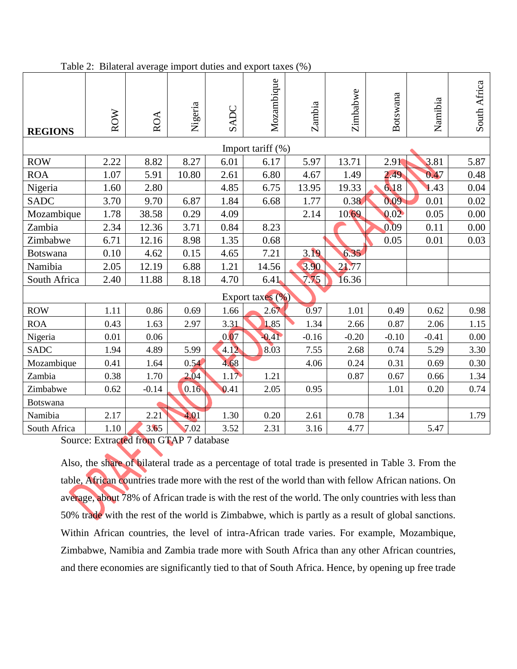| <b>REGIONS</b>  | <b>ROW</b> | <b>ROA</b> | Nigeria | SADC | Mozambique        | Zambia  | Zimbabwe | Botswana | Namibia | South Africa |
|-----------------|------------|------------|---------|------|-------------------|---------|----------|----------|---------|--------------|
|                 |            |            |         |      | Import tariff (%) |         |          |          |         |              |
| <b>ROW</b>      | 2.22       | 8.82       | 8.27    | 6.01 | 6.17              | 5.97    | 13.71    | 2.91     | 3.81    | 5.87         |
| <b>ROA</b>      | 1.07       | 5.91       | 10.80   | 2.61 | 6.80              | 4.67    | 1.49     | 2.49     | 0.47    | 0.48         |
| Nigeria         | 1.60       | 2.80       |         | 4.85 | 6.75              | 13.95   | 19.33    | 6.18     | 1.43    | 0.04         |
| <b>SADC</b>     | 3.70       | 9.70       | 6.87    | 1.84 | 6.68              | 1.77    | 0.38     | 0.09     | 0.01    | 0.02         |
| Mozambique      | 1.78       | 38.58      | 0.29    | 4.09 |                   | 2.14    | 10.69    | 0.02     | 0.05    | 0.00         |
| Zambia          | 2.34       | 12.36      | 3.71    | 0.84 | 8.23              |         |          | 0.09     | 0.11    | $0.00\,$     |
| Zimbabwe        | 6.71       | 12.16      | 8.98    | 1.35 | 0.68              |         |          | 0.05     | 0.01    | 0.03         |
| <b>Botswana</b> | 0.10       | 4.62       | 0.15    | 4.65 | 7.21              | 3.19    | 6.35     |          |         |              |
| Namibia         | 2.05       | 12.19      | 6.88    | 1.21 | 14.56             | 3.90    | 21.77    |          |         |              |
| South Africa    | 2.40       | 11.88      | 8.18    | 4.70 | 6.41              | 7.75    | 16.36    |          |         |              |
|                 |            |            |         |      | Export taxes (%)  |         |          |          |         |              |
| <b>ROW</b>      | 1.11       | 0.86       | 0.69    | 1.66 | 2.67              | 0.97    | 1.01     | 0.49     | 0.62    | 0.98         |
| <b>ROA</b>      | 0.43       | 1.63       | 2.97    | 3.31 | 1.85              | 1.34    | 2.66     | 0.87     | 2.06    | 1.15         |
| Nigeria         | 0.01       | 0.06       |         | 0.07 | $-0.41$           | $-0.16$ | $-0.20$  | $-0.10$  | $-0.41$ | 0.00         |
| <b>SADC</b>     | 1.94       | 4.89       | 5.99    | 4.12 | 8.03              | 7.55    | 2.68     | 0.74     | 5.29    | 3.30         |
| Mozambique      | 0.41       | 1.64       | 0.54    | 4.68 |                   | 4.06    | 0.24     | 0.31     | 0.69    | 0.30         |
| Zambia          | 0.38       | 1.70       | 2.04    | 1.17 | 1.21              |         | 0.87     | 0.67     | 0.66    | 1.34         |
| Zimbabwe        | 0.62       | $-0.14$    | 0.16    | 0.41 | 2.05              | 0.95    |          | 1.01     | 0.20    | 0.74         |
| Botswana        |            |            |         |      |                   |         |          |          |         |              |
| Namibia         | 2.17       | 2.21       | 4.01    | 1.30 | 0.20              | 2.61    | 0.78     | 1.34     |         | 1.79         |
| South Africa    | 1.10       | 3.65       | 7.02    | 3.52 | 2.31              | 3.16    | 4.77     |          | 5.47    |              |

Table 2: Bilateral average import duties and export taxes (%)

Source: Extracted from GTAP 7 database

Also, the share of bilateral trade as a percentage of total trade is presented in Table 3. From the table, African countries trade more with the rest of the world than with fellow African nations. On average, about 78% of African trade is with the rest of the world. The only countries with less than 50% trade with the rest of the world is Zimbabwe, which is partly as a result of global sanctions. Within African countries, the level of intra-African trade varies. For example, Mozambique, Zimbabwe, Namibia and Zambia trade more with South Africa than any other African countries, and there economies are significantly tied to that of South Africa. Hence, by opening up free trade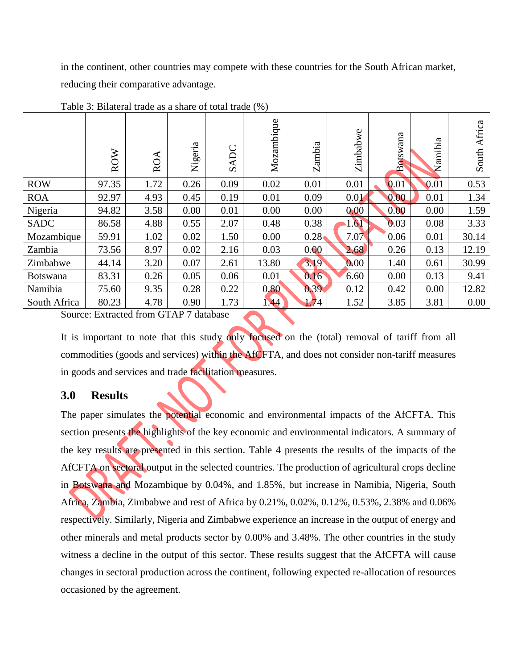in the continent, other countries may compete with these countries for the South African market, reducing their comparative advantage.

|                 | <b>ROW</b> | ROA  | Nigeria | ADC<br>$\mathcal{D}$ | Mozambique | Zambia | Zimbabwe | Botswana | Namibia | Africa<br>South |
|-----------------|------------|------|---------|----------------------|------------|--------|----------|----------|---------|-----------------|
| <b>ROW</b>      | 97.35      | 1.72 | 0.26    | 0.09                 | 0.02       | 0.01   | 0.01     | 0.01     | 0.01    | 0.53            |
| <b>ROA</b>      | 92.97      | 4.93 | 0.45    | 0.19                 | 0.01       | 0.09   | 0.01     | 0.00     | 0.01    | 1.34            |
| Nigeria         | 94.82      | 3.58 | 0.00    | 0.01                 | 0.00       | 0.00   | 0.00     | 0.00     | 0.00    | 1.59            |
| <b>SADC</b>     | 86.58      | 4.88 | 0.55    | 2.07                 | 0.48       | 0.38   | 1.61     | 0.03     | 0.08    | 3.33            |
| Mozambique      | 59.91      | 1.02 | 0.02    | 1.50                 | 0.00       | 0.28   | 7.07     | 0.06     | 0.01    | 30.14           |
| Zambia          | 73.56      | 8.97 | 0.02    | 2.16                 | 0.03       | 0.00   | 2.68     | 0.26     | 0.13    | 12.19           |
| Zimbabwe        | 44.14      | 3.20 | 0.07    | 2.61                 | 13.80      | 3.19   | 0.00     | 1.40     | 0.61    | 30.99           |
| <b>Botswana</b> | 83.31      | 0.26 | 0.05    | 0.06                 | 0.01       | 0.16   | 6.60     | 0.00     | 0.13    | 9.41            |
| Namibia         | 75.60      | 9.35 | 0.28    | 0.22                 | 0.80       | 0.39   | 0.12     | 0.42     | 0.00    | 12.82           |
| South Africa    | 80.23      | 4.78 | 0.90    | 1.73                 | 1.44       | 1.74   | 1.52     | 3.85     | 3.81    | 0.00            |

Table 3: Bilateral trade as a share of total trade (%)

Source: Extracted from GTAP 7 database

It is important to note that this study only focused on the (total) removal of tariff from all commodities (goods and services) within the AfCFTA, and does not consider non-tariff measures in goods and services and trade facilitation measures.

## **3.0 Results**

The paper simulates the potential economic and environmental impacts of the AfCFTA. This section presents the highlights of the key economic and environmental indicators. A summary of the key results are presented in this section. Table 4 presents the results of the impacts of the AfCFTA on sectoral output in the selected countries. The production of agricultural crops decline in Botswana and Mozambique by 0.04%, and 1.85%, but increase in Namibia, Nigeria, South Africa, Zambia, Zimbabwe and rest of Africa by 0.21%, 0.02%, 0.12%, 0.53%, 2.38% and 0.06% respectively. Similarly, Nigeria and Zimbabwe experience an increase in the output of energy and other minerals and metal products sector by 0.00% and 3.48%. The other countries in the study witness a decline in the output of this sector. These results suggest that the AfCFTA will cause changes in sectoral production across the continent, following expected re-allocation of resources occasioned by the agreement.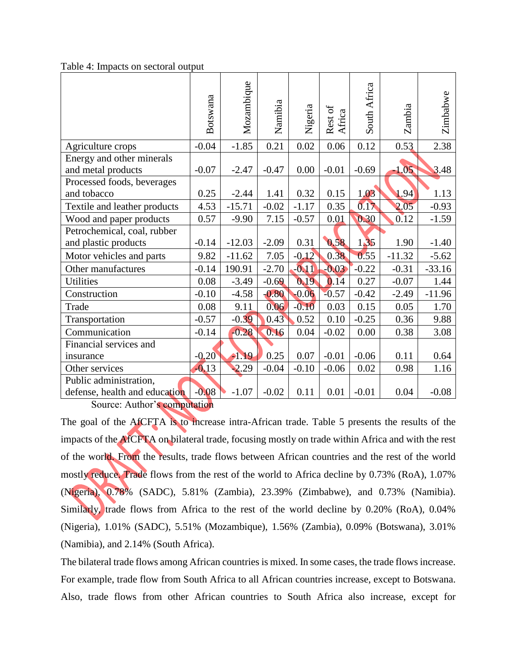Table 4: Impacts on sectoral output

|                                                         | Botswana | Mozambique | Namibia | Nigeria | Rest of<br>Africa | South Africa | Zambia   | Zimbabwe |
|---------------------------------------------------------|----------|------------|---------|---------|-------------------|--------------|----------|----------|
| Agriculture crops                                       | $-0.04$  | $-1.85$    | 0.21    | 0.02    | 0.06              | 0.12         | 0.53     | 2.38     |
| Energy and other minerals<br>and metal products         | $-0.07$  | $-2.47$    | $-0.47$ | 0.00    | $-0.01$           | $-0.69$      | $-1.05$  | 3.48     |
| Processed foods, beverages<br>and tobacco               | 0.25     | $-2.44$    | 1.41    | 0.32    | 0.15              | 1.03         | 1.94     | 1.13     |
| Textile and leather products                            | 4.53     | $-15.71$   | $-0.02$ | $-1.17$ | 0.35              | 0.17         | 2.05     | $-0.93$  |
| Wood and paper products                                 | 0.57     | $-9.90$    | 7.15    | $-0.57$ | 0.01              | 0.30         | 0.12     | $-1.59$  |
| Petrochemical, coal, rubber<br>and plastic products     | $-0.14$  | $-12.03$   | $-2.09$ | 0.31    | 0.58              | 1,35         | 1.90     | $-1.40$  |
| Motor vehicles and parts                                | 9.82     | $-11.62$   | 7.05    | $-0.12$ | 0.38              | 0.55         | $-11.32$ | $-5.62$  |
| Other manufactures                                      | $-0.14$  | 190.91     | $-2.70$ | $-0.11$ | $-0.03$           | $-0.22$      | $-0.31$  | $-33.16$ |
| <b>Utilities</b>                                        | 0.08     | $-3.49$    | $-0.69$ | 0.19    | 0.14              | 0.27         | $-0.07$  | 1.44     |
| Construction                                            | $-0.10$  | $-4.58$    | $-0.80$ | $-0.06$ | $-0.57$           | $-0.42$      | $-2.49$  | $-11.96$ |
| Trade                                                   | 0.08     | 9.11       | 0.06    | $-0.10$ | 0.03              | 0.15         | 0.05     | 1.70     |
| Transportation                                          | $-0.57$  | $-0.39$    | 0.43    | 0.52    | 0.10              | $-0.25$      | 0.36     | 9.88     |
| Communication                                           | $-0.14$  | $-0.28$    | 0.16    | 0.04    | $-0.02$           | 0.00         | 0.38     | 3.08     |
| Financial services and                                  |          |            |         |         |                   |              |          |          |
| insurance                                               | $-0.20$  | $-1.19$    | 0.25    | 0.07    | $-0.01$           | $-0.06$      | 0.11     | 0.64     |
| Other services                                          | $-0.13$  | 2.29       | $-0.04$ | $-0.10$ | $-0.06$           | 0.02         | 0.98     | 1.16     |
| Public administration,<br>defense, health and education | $-0.08$  | $-1.07$    | $-0.02$ | 0.11    | 0.01              | $-0.01$      | 0.04     | $-0.08$  |

Source: Author's computation

The goal of the AfCFTA is to increase intra-African trade. Table 5 presents the results of the impacts of the AfCFTA on bilateral trade, focusing mostly on trade within Africa and with the rest of the world. From the results, trade flows between African countries and the rest of the world mostly reduce. Trade flows from the rest of the world to Africa decline by 0.73% (RoA), 1.07% (Nigeria), 0.78% (SADC), 5.81% (Zambia), 23.39% (Zimbabwe), and 0.73% (Namibia). Similarly, trade flows from Africa to the rest of the world decline by 0.20% (RoA), 0.04% (Nigeria), 1.01% (SADC), 5.51% (Mozambique), 1.56% (Zambia), 0.09% (Botswana), 3.01% (Namibia), and 2.14% (South Africa).

The bilateral trade flows among African countries is mixed. In some cases, the trade flows increase. For example, trade flow from South Africa to all African countries increase, except to Botswana. Also, trade flows from other African countries to South Africa also increase, except for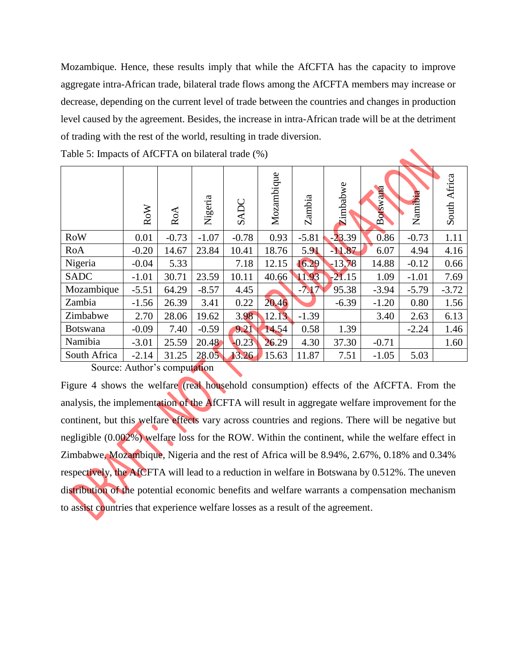Mozambique. Hence, these results imply that while the AfCFTA has the capacity to improve aggregate intra-African trade, bilateral trade flows among the AfCFTA members may increase or decrease, depending on the current level of trade between the countries and changes in production level caused by the agreement. Besides, the increase in intra-African trade will be at the detriment of trading with the rest of the world, resulting in trade diversion.

|              | <b>RoW</b> | RoA     | Nigeria | SADC    | Mozambique | Zambia  | Zimbabwe | Botswana | Namibia | South Africa |
|--------------|------------|---------|---------|---------|------------|---------|----------|----------|---------|--------------|
| <b>RoW</b>   | 0.01       | $-0.73$ | $-1.07$ | $-0.78$ | 0.93       | $-5.81$ | $-23.39$ | 0.86     | $-0.73$ | 1.11         |
| RoA          | $-0.20$    | 14.67   | 23.84   | 10.41   | 18.76      | 5.91    | $-11.87$ | 6.07     | 4.94    | 4.16         |
| Nigeria      | $-0.04$    | 5.33    |         | 7.18    | 12.15      | 16.29   | $-13.78$ | 14.88    | $-0.12$ | 0.66         |
| <b>SADC</b>  | $-1.01$    | 30.71   | 23.59   | 10.11   | 40.66      | 11.93   | $-21.15$ | 1.09     | $-1.01$ | 7.69         |
| Mozambique   | $-5.51$    | 64.29   | $-8.57$ | 4.45    |            | $-717$  | 95.38    | $-3.94$  | $-5.79$ | $-3.72$      |
| Zambia       | $-1.56$    | 26.39   | 3.41    | 0.22    | 20.46      |         | $-6.39$  | $-1.20$  | 0.80    | 1.56         |
| Zimbabwe     | 2.70       | 28.06   | 19.62   | 3.98    | 12.13      | $-1.39$ |          | 3.40     | 2.63    | 6.13         |
| Botswana     | $-0.09$    | 7.40    | $-0.59$ | 9.21    | 14.54      | 0.58    | 1.39     |          | $-2.24$ | 1.46         |
| Namibia      | $-3.01$    | 25.59   | 20.48   | $-0.23$ | 26.29      | 4.30    | 37.30    | $-0.71$  |         | 1.60         |
| South Africa | $-2.14$    | 31.25   | 28.05   | 13.26   | 15.63      | 11.87   | 7.51     | $-1.05$  | 5.03    |              |

Table 5: Impacts of AfCFTA on bilateral trade (%)

Source: Author's computation

Figure 4 shows the welfare (real household consumption) effects of the AfCFTA. From the analysis, the implementation of the AfCFTA will result in aggregate welfare improvement for the continent, but this welfare effects vary across countries and regions. There will be negative but negligible (0.002%) welfare loss for the ROW. Within the continent, while the welfare effect in Zimbabwe, Mozambique, Nigeria and the rest of Africa will be 8.94%, 2.67%, 0.18% and 0.34% respectively, the AfCFTA will lead to a reduction in welfare in Botswana by 0.512%. The uneven distribution of the potential economic benefits and welfare warrants a compensation mechanism to assist countries that experience welfare losses as a result of the agreement.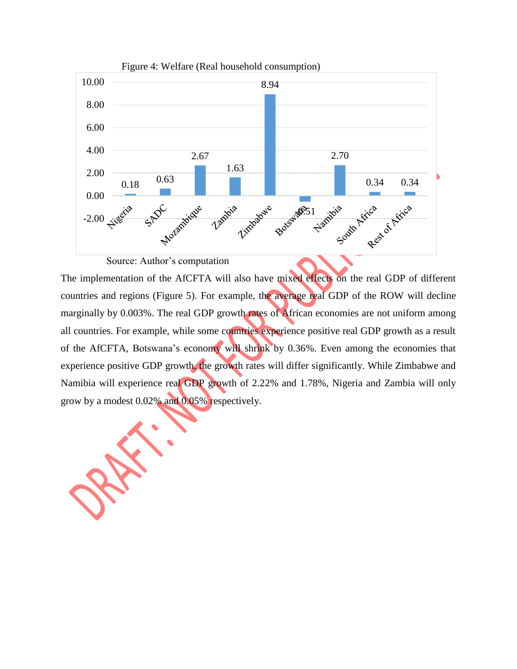

Source: Author's computation

The implementation of the AfCFTA will also have mixed effects on the real GDP of different countries and regions (Figure 5). For example, the average real GDP of the ROW will decline marginally by 0.003%. The real GDP growth rates of African economies are not uniform among all countries. For example, while some countries experience positive real GDP growth as a result of the AfCFTA, Botswana's economy will shrink by 0.36%. Even among the economies that experience positive GDP growth, the growth rates will differ significantly. While Zimbabwe and Namibia will experience real GDP growth of 2.22% and 1.78%, Nigeria and Zambia will only grow by a modest 0.02% and 0.05% respectively.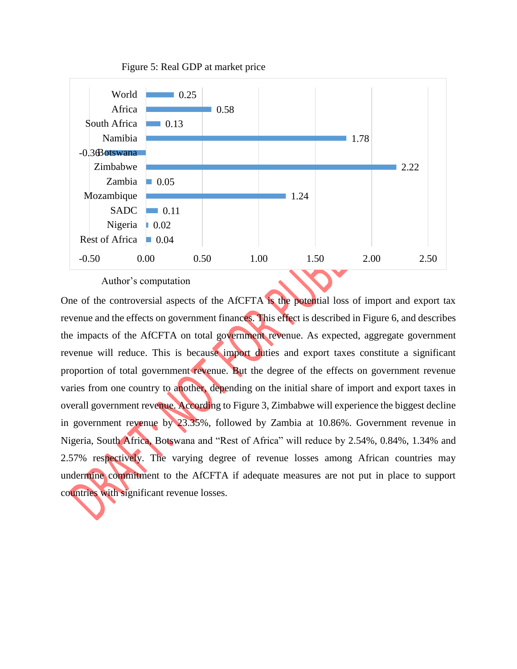

Figure 5: Real GDP at market price

Author's computation

One of the controversial aspects of the AfCFTA is the potential loss of import and export tax revenue and the effects on government finances. This effect is described in Figure 6, and describes the impacts of the AfCFTA on total government revenue. As expected, aggregate government revenue will reduce. This is because import duties and export taxes constitute a significant proportion of total government revenue. But the degree of the effects on government revenue varies from one country to another, depending on the initial share of import and export taxes in overall government revenue. According to Figure 3, Zimbabwe will experience the biggest decline in government revenue by 23.35%, followed by Zambia at 10.86%. Government revenue in Nigeria, South Africa, Botswana and "Rest of Africa" will reduce by 2.54%, 0.84%, 1.34% and 2.57% respectively. The varying degree of revenue losses among African countries may undermine commitment to the AfCFTA if adequate measures are not put in place to support countries with significant revenue losses.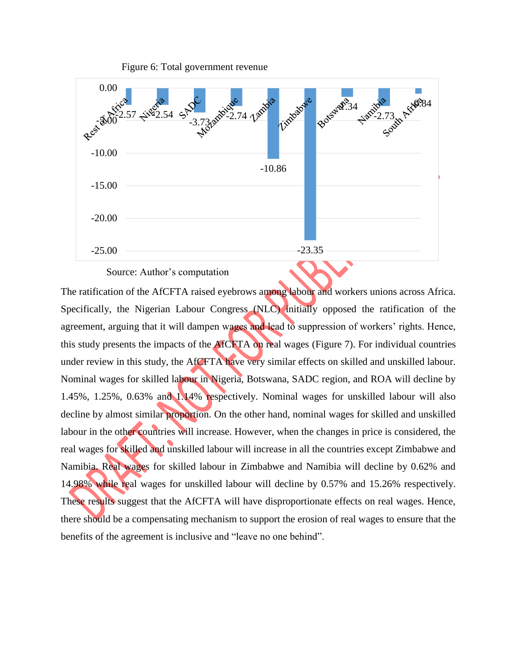

Figure 6: Total government revenue

Source: Author's computation

The ratification of the AfCFTA raised eyebrows among labour and workers unions across Africa. Specifically, the Nigerian Labour Congress (NLC) initially opposed the ratification of the agreement, arguing that it will dampen wages and lead to suppression of workers' rights. Hence, this study presents the impacts of the AfCFTA on real wages (Figure 7). For individual countries under review in this study, the AfCFTA have very similar effects on skilled and unskilled labour. Nominal wages for skilled labour in Nigeria, Botswana, SADC region, and ROA will decline by 1.45%, 1.25%, 0.63% and 1.14% respectively. Nominal wages for unskilled labour will also decline by almost similar proportion. On the other hand, nominal wages for skilled and unskilled labour in the other countries will increase. However, when the changes in price is considered, the real wages for skilled and unskilled labour will increase in all the countries except Zimbabwe and Namibia. Real wages for skilled labour in Zimbabwe and Namibia will decline by 0.62% and 14.98% while real wages for unskilled labour will decline by 0.57% and 15.26% respectively. These results suggest that the AfCFTA will have disproportionate effects on real wages. Hence, there should be a compensating mechanism to support the erosion of real wages to ensure that the benefits of the agreement is inclusive and "leave no one behind".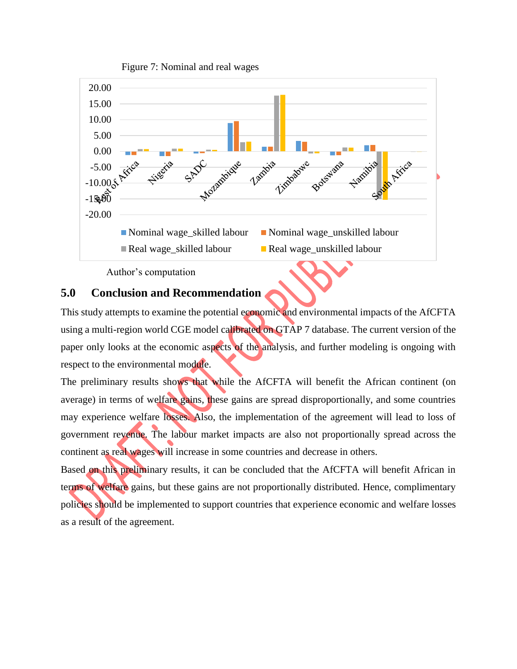

Author's computation

## **5.0 Conclusion and Recommendation**

This study attempts to examine the potential economic and environmental impacts of the AfCFTA using a multi-region world CGE model calibrated on GTAP 7 database. The current version of the paper only looks at the economic aspects of the analysis, and further modeling is ongoing with respect to the environmental module.

The preliminary results shows that while the AfCFTA will benefit the African continent (on average) in terms of welfare gains, these gains are spread disproportionally, and some countries may experience welfare losses. Also, the implementation of the agreement will lead to loss of government revenue. The labour market impacts are also not proportionally spread across the continent as real wages will increase in some countries and decrease in others.

Based on this preliminary results, it can be concluded that the AfCFTA will benefit African in terms of welfare gains, but these gains are not proportionally distributed. Hence, complimentary policies should be implemented to support countries that experience economic and welfare losses as a result of the agreement.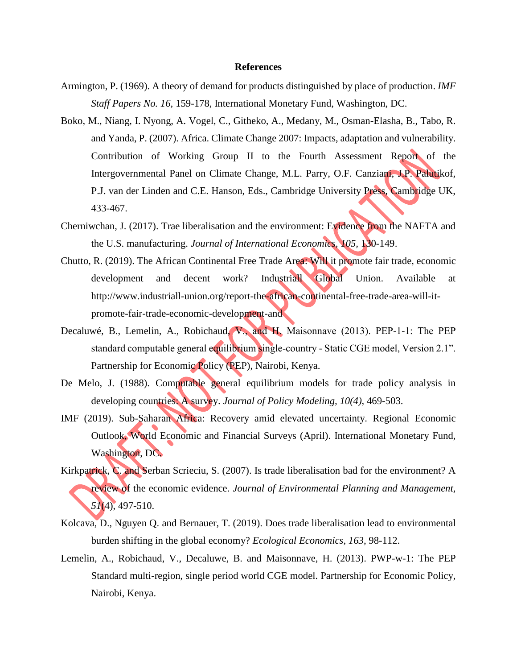#### **References**

- Armington, P. (1969). A theory of demand for products distinguished by place of production. *IMF Staff Papers No. 16,* 159-178, International Monetary Fund, Washington, DC.
- Boko, M., Niang, I. Nyong, A. Vogel, C., Githeko, A., Medany, M., Osman-Elasha, B., Tabo, R. and Yanda, P. (2007). Africa. Climate Change 2007: Impacts, adaptation and vulnerability. Contribution of Working Group II to the Fourth Assessment Report of the Intergovernmental Panel on Climate Change, M.L. Parry, O.F. Canziani, J.P. Palutikof, P.J. van der Linden and C.E. Hanson, Eds., Cambridge University Press, Cambridge UK, 433-467.
- Cherniwchan, J. (2017). Trae liberalisation and the environment: Evidence from the NAFTA and the U.S. manufacturing. *Journal of International Economics, 105,* 130-149.
- Chutto, R. (2019). The African Continental Free Trade Area: Will it promote fair trade, economic development and decent work? Industriall Global Union. Available at http://www.industriall-union.org/report-the-african-continental-free-trade-area-will-itpromote-fair-trade-economic-development-and
- Decaluwé, B., Lemelin, A., Robichaud, V., and H. Maisonnave (2013). PEP‐1‐1: The PEP standard computable general equilibrium single-country - Static CGE model, Version 2.1". Partnership for Economic Policy (PEP), Nairobi, Kenya.
- De Melo, J. (1988). Computable general equilibrium models for trade policy analysis in developing countries: A survey. *Journal of Policy Modeling, 10(4)*, 469-503.
- IMF (2019). Sub-Saharan Africa: Recovery amid elevated uncertainty. Regional Economic Outlook, World Economic and Financial Surveys (April). International Monetary Fund, Washington, DC.
- Kirkpatrick, C. and Serban Scrieciu, S. (2007). Is trade liberalisation bad for the environment? A review of the economic evidence. *Journal of Environmental Planning and Management, 51*(4), 497-510.
- Kolcava, D., Nguyen Q. and Bernauer, T. (2019). Does trade liberalisation lead to environmental burden shifting in the global economy? *Ecological Economics, 163*, 98-112.
- Lemelin, A., Robichaud, V., Decaluwe, B. and Maisonnave, H. (2013). PWP-w-1: The PEP Standard multi-region, single period world CGE model. Partnership for Economic Policy, Nairobi, Kenya.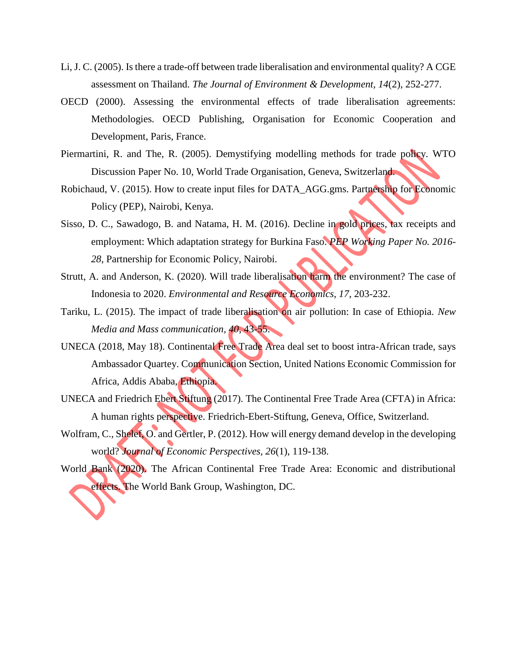- Li, J. C. (2005). Is there a trade-off between trade liberalisation and environmental quality? A CGE assessment on Thailand. *The Journal of Environment & Development, 14*(2), 252-277.
- OECD (2000). Assessing the environmental effects of trade liberalisation agreements: Methodologies. OECD Publishing, Organisation for Economic Cooperation and Development, Paris, France.
- Piermartini, R. and The, R. (2005). Demystifying modelling methods for trade policy. WTO Discussion Paper No. 10, World Trade Organisation, Geneva, Switzerland.
- Robichaud, V. (2015). How to create input files for DATA\_AGG.gms. Partnership for Economic Policy (PEP), Nairobi, Kenya.
- Sisso, D. C., Sawadogo, B. and Natama, H. M. (2016). Decline in gold prices, tax receipts and employment: Which adaptation strategy for Burkina Faso. *PEP Working Paper No. 2016- 28*, Partnership for Economic Policy, Nairobi.
- Strutt, A. and Anderson, K. (2020). Will trade liberalisation harm the environment? The case of Indonesia to 2020. *Environmental and Resource Economics, 17*, 203-232.
- Tariku, L. (2015). The impact of trade liberalisation on air pollution: In case of Ethiopia. *New Media and Mass communication, 40*, 43-55.
- UNECA (2018, May 18). Continental Free Trade Area deal set to boost intra-African trade, says Ambassador Quartey. Communication Section, United Nations Economic Commission for Africa, Addis Ababa, Ethiopia.
- UNECA and Friedrich Ebert Stiftung (2017). The Continental Free Trade Area (CFTA) in Africa: A human rights perspective. Friedrich-Ebert-Stiftung, Geneva, Office, Switzerland.
- Wolfram, C., Shelef, O. and Gertler, P. (2012). How will energy demand develop in the developing world? *Journal of Economic Perspectives, 26*(1), 119-138.
- World Bank (2020). The African Continental Free Trade Area: Economic and distributional effects. The World Bank Group, Washington, DC.